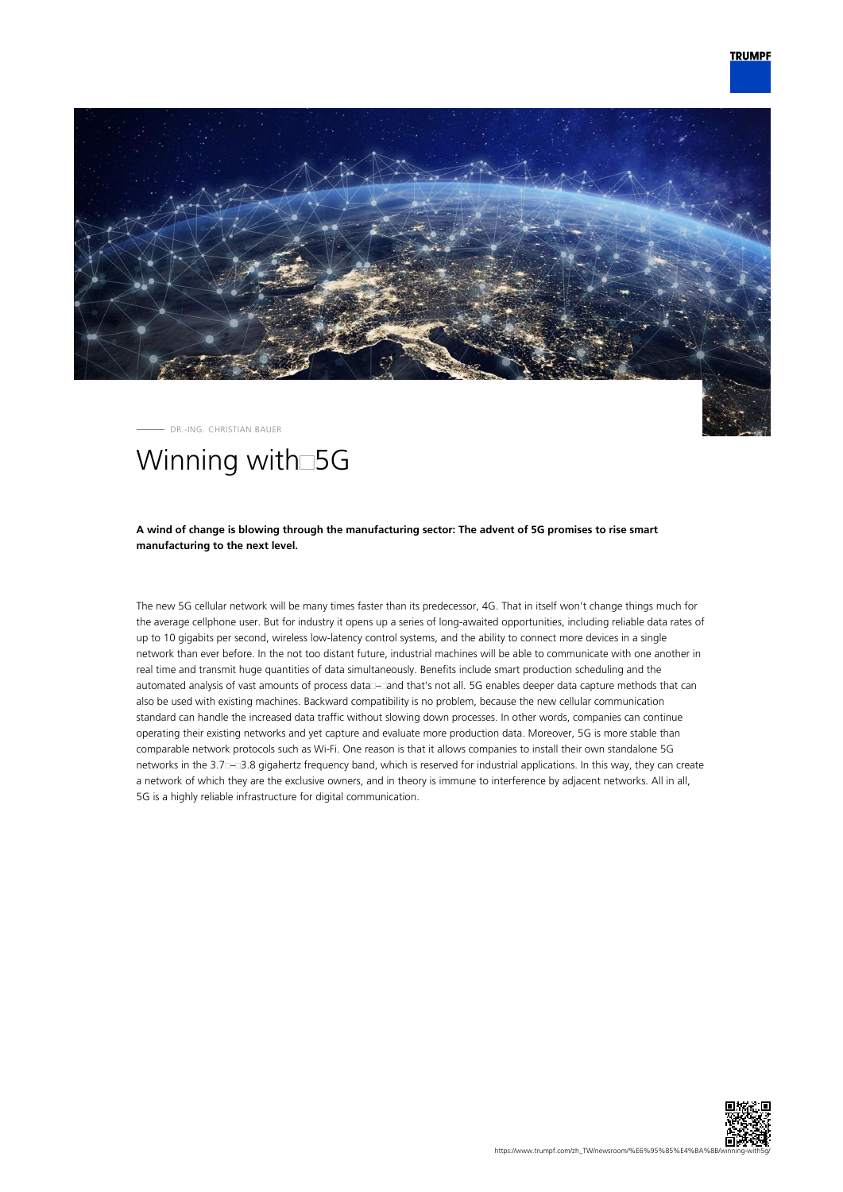

- DR.-ING. CHRISTIAN BAUER

## Winning with<sup>5G</sup>

## **A wind of change is blowing through the manufacturing sector: The advent of 5G promises to rise smart manufacturing to the next level.**

The new 5G cellular network will be many times faster than its predecessor, 4G. That in itself won't change things much for the average cellphone user. But for industry it opens up a series of long-awaited opportunities, including reliable data rates of up to 10 gigabits per second, wireless low-latency control systems, and the ability to connect more devices in a single network than ever before. In the not too distant future, industrial machines will be able to communicate with one another in real time and transmit huge quantities of data simultaneously. Benefits include smart production scheduling and the automated analysis of vast amounts of process data – and that's not all. 5G enables deeper data capture methods that can also be used with existing machines. Backward compatibility is no problem, because the new cellular communication standard can handle the increased data traffic without slowing down processes. In other words, companies can continue operating their existing networks and yet capture and evaluate more production data. Moreover, 5G is more stable than comparable network protocols such as Wi-Fi. One reason is that it allows companies to install their own standalone 5G networks in the 3.7 – 3.8 gigahertz frequency band, which is reserved for industrial applications. In this way, they can create a network of which they are the exclusive owners, and in theory is immune to interference by adjacent networks. All in all, 5G is a highly reliable infrastructure for digital communication.